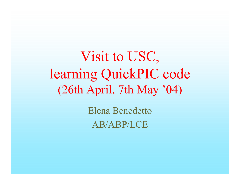Visit to USC, learning QuickPIC code (26th April, 7th May '04)

> Elena BenedettoAB/ABP/LCE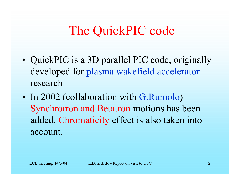# The QuickPIC code

- •• QuickPIC is a 3D parallel PIC code, originally developed for plasma wakefield accelerator research
- •• In 2002 (collaboration with G.Rumolo) Synchrotron and Betatron motions has been added. Chromaticity effect is also taken into account.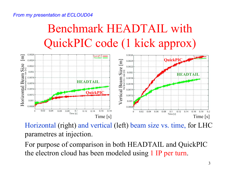#### *From my presentation at ECLOUD04*

## Benchmark HEADTAIL with QuickPIC code (1 kick approx)



Horizontal (right) and vertical (left) beam size vs. time, for LHC parametres at injection.

For purpose of comparison in both HEADTAIL and QuickPIC the electron cloud has been modeled using 1 IP per turn.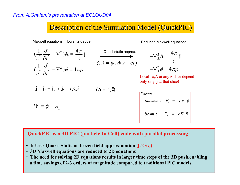### Description of the Simulation Model (QuickPIC)

Maxwell equations in Lorentz gauge Maxwell equations Reduced Maxwell equations

$$
(\frac{1}{c^2}\frac{\partial^2}{\partial t^2} - \nabla^2) \mathbf{A} = \frac{4\pi}{c}\mathbf{j}
$$

$$
(\frac{1}{c^2}\frac{\partial^2}{\partial t^2} - \nabla^2)\phi = 4\pi\rho
$$

Quasi-static approx.

$$
\phi, A = \varphi, A(z - ct)
$$

$$
-\nabla_{\perp}^{2} \mathbf{A} = \frac{4\pi}{c} \mathbf{j}
$$

$$
-\nabla_{\perp}^{2} \phi = 4\pi \rho
$$

Local--φ,Α at any z-slice depend only on  $\rho$ , j at that slice!

$$
\mathbf{j} = \mathbf{j}_b + \mathbf{j}_e \approx \mathbf{j}_b = c\rho_b \hat{z} \qquad (A = A_{ij} \hat{\mathbf{s}})
$$

$$
\Psi = \phi - A_{\text{f}}
$$

\n
$$
\text{Forces: } \quad \text{plasma: } F_{e\perp} = -e \nabla_{\perp} \phi
$$
\n

\n\n $\text{beam: } F_{b\perp} = -e \nabla_{\perp} \Psi$ \n

#### **QuickPIC is a 3D PIC (particle In Cell) code with parallel processing**

- **It Uses Quasi- Static or frozen field approximation (**β**>>**σ**z)**
- **3D Maxwell equations are reduced to 2D equations**
- a time savings of 2-3 orders of magnitude compared to traditional PIC models • **The need for solving 2D equations results in larger time steps of the 3D push,enabling**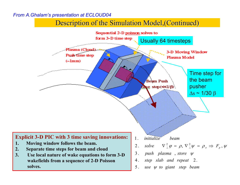### Description of the Simulation Model, (Continued)

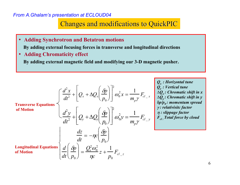Changes and modifications to QuickPIC

- • **Adding Synchrotron and Betatron motions By adding external focusing forces in transverse and longitudinal directions**
- $\bullet$ **Adding Chromaticity effect**

**By adding external magnetic field and modifying our 3-D magnetic pusher.**

| <b>Transverse Equations</b>                                                                                                                |                                                                                   |  |  |
|--------------------------------------------------------------------------------------------------------------------------------------------|-----------------------------------------------------------------------------------|--|--|
| \n $\frac{d^2x}{dt^2} + \left[Q_x + \Delta Q_x \left(\frac{\delta p}{p_0}\right)\right]^2 \omega_0^2 x = \frac{1}{m_p \gamma} F_{cl_x}$ \n | \n $\frac{Q_x : Horizontal\ time}{\Delta Q_x : \text{ Chromatic shift in } x}$ \n |  |  |
| \n $\frac{d^2y}{dt^2} + \left[Q_y + \Delta Q_y \left(\frac{\delta p}{p_0}\right)\right]^2 \omega_0^2 y = \frac{1}{m_p \gamma} F_{cl_x}$ \n | \n $\frac{d^2y}{dt^2} \cdot \text{Plontine shift in } y$ \n                       |  |  |
| \n $\frac{dz}{dt} = -\eta c \left(\frac{\delta p}{p_0}\right)$ \n                                                                          |                                                                                   |  |  |
| \n $\frac{dz}{dt} = -\eta c \left(\frac{\delta p}{p_0}\right)$ \n                                                                          |                                                                                   |  |  |
| \n $\frac{dz}{dt} = \frac{Q_x^2 \omega_0^2}{\eta c} z + \frac{1}{p_0} F_{cl_x z}$ \n                                                       | \n $\frac{d}{d t} F_{cl_x z}$ \n                                                  |  |  |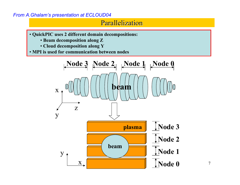### **Parallelization**

- **QuickPIC uses 2 different domain decompositions:**
	- **Beam decomposition along Z**
	- **Cloud decomposition along Y**
- **MPI is used for communication between nodes**

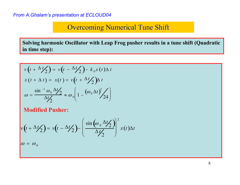### **Overcoming Numerical Tune Shift**

**Solving harmonic Oscillator with Leap Frog pusher results in a tune shift (Quadratic in time step):**

$$
v(t + \Delta t/2) = v(t - \Delta t/2) - k_0 x(t) \Delta t
$$
  

$$
x(t + \Delta t) = x(t) + v(t + \Delta t/2) \Delta t
$$
  

$$
\omega = \frac{\sin^{-1} \omega_0 \Delta t/2}{\Delta t/2} \approx \omega_0 \left(1 - \left(\omega_0 \Delta t\right)^2/24\right)
$$

**Modified Pusher:**

$$
v(t + \Delta t/2) = v(t - \Delta t/2) - \left(\frac{\sin(\omega_0 \Delta t/2)}{\Delta t/2}\right)^2 x(t)\Delta t
$$

 $\omega = \omega_0$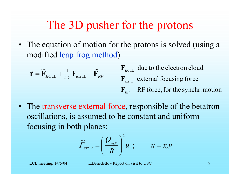## The 3D pusher for the protons

• The equation of motion for the protons is solved (using a modified leap frog method )

$$
\ddot{\mathbf{r}} = \widetilde{\mathbf{F}}_{EC,\perp} + \frac{1}{m\gamma} \mathbf{F}_{ext,\perp} + \widetilde{\mathbf{F}}_{RF} \qquad \begin{array}{c} \mathbf{F}_{EC,\perp} \text{ due to the electron cloud} \\ \mathbf{F}_{ext,\perp} \text{ external focusing force} \\ \mathbf{F}_{RF} \text{ RF force, for the synchr.motion} \end{array}
$$

• The transverse external force, responsible of the betatron oscillations, is assumed to be constant and uniform focusing in both planes:

$$
\widetilde{F}_{ext,u} = \left(\frac{Q_{x,y}}{R}\right)^2 u \quad ; \qquad u = x,y
$$

LCE meeting,  $14/5/04$  E.Benedetto - Report on visit to USC 9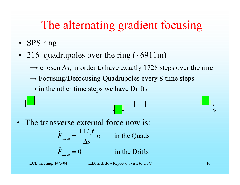## The alternating gradient focusing

- SPS ring
- 216 quadrupoles over the ring (~6911m)
	- $\rightarrow$  chosen  $\Delta s$ , in order to have exactly 1728 steps over the ring
	- $\rightarrow$  Focusing/Defocusing Quadrupoles every 8 time steps
	- $\rightarrow$  in the other time steps we have Drifts



•The transverse external force now is:

$$
\widetilde{F}_{ext,u} = \frac{\pm 1/f}{\Delta s} u \quad \text{in the Quads}
$$

 $_{,u}=0$  in the Drifts  $F_{_{ext\_u}} =$ 

LCE meeting, 14/5/04 E.Benedetto - Report on visit to USC 10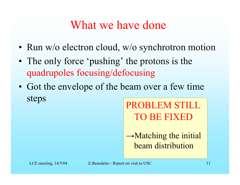### What we have done

- Run w/o electron cloud, w/o synchrotron motion
- •• The only force 'pushing' the protons is the quadrupoles focusing/defocusing
- •• Got the envelope of the beam over a few time steps PROBLEM STILL

TO BE FIXED

 $\rightarrow$ Matching the initial beam distribution